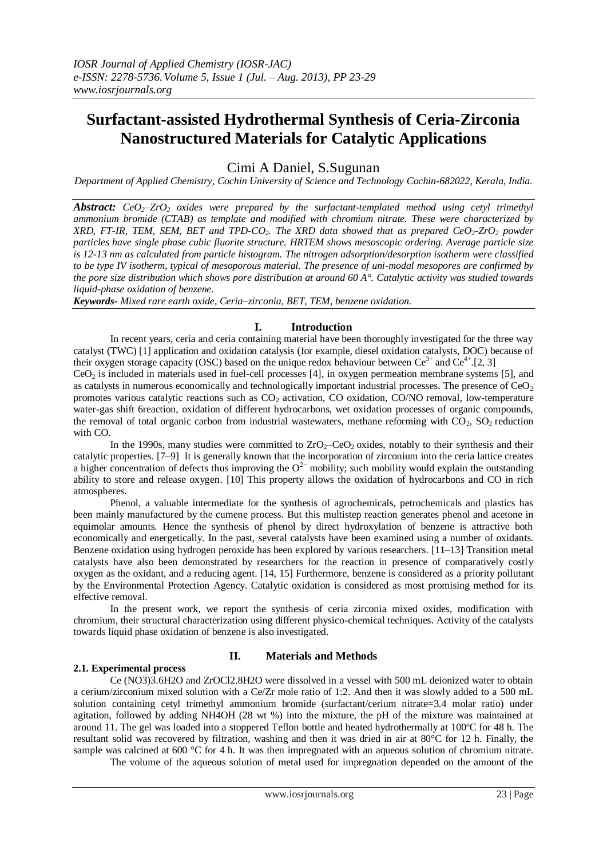# **Surfactant-assisted Hydrothermal Synthesis of Ceria-Zirconia Nanostructured Materials for Catalytic Applications**

Cimi A Daniel, S.Sugunan

*Department of Applied Chemistry, Cochin University of Science and Technology Cochin-682022, Kerala, India.*

*Abstract:*  $CeO<sub>2</sub>–ZrO<sub>2</sub>$  *oxides* were prepared by the surfactant-templated method using cetyl trimethyl *ammonium bromide (CTAB) as template and modified with chromium nitrate. These were characterized by XRD, FT-IR, TEM, SEM, BET and TPD-CO2. The XRD data showed that as prepared CeO2-ZrO<sup>2</sup> powder particles have single phase cubic fluorite structure. HRTEM shows mesoscopic ordering. Average particle size is 12-13 nm as calculated from particle histogram. The nitrogen adsorption/desorption isotherm were classified to be type IV isotherm, typical of mesoporous material. The presence of uni-modal mesopores are confirmed by the pore size distribution which shows pore distribution at around 60 A°. Catalytic activity was studied towards liquid-phase oxidation of benzene.*

*Keywords- Mixed rare earth oxide, Ceria–zirconia, BET, TEM, benzene oxidation.*

# **I. Introduction**

In recent years, ceria and ceria containing material have been thoroughly investigated for the three way catalyst (TWC) [1] application and oxidation catalysis (for example, diesel oxidation catalysts, DOC) because of their oxygen storage capacity (OSC) based on the unique redox behaviour between  $Ce^{3+}$  and  $Ce^{4+}$ .[2, 3]  $CeO<sub>2</sub>$  is included in materials used in fuel-cell processes [4], in oxygen permeation membrane systems [5], and as catalysts in numerous economically and technologically important industrial processes. The presence of  $CeO<sub>2</sub>$ promotes various catalytic reactions such as  $CO<sub>2</sub>$  activation,  $CO$  oxidation,  $CO/NO$  removal, low-temperature water-gas shift 6reaction, oxidation of different hydrocarbons, wet oxidation processes of organic compounds,

the removal of total organic carbon from industrial wastewaters, methane reforming with  $CO<sub>2</sub>$ ,  $SO<sub>2</sub>$  reduction with CO.

In the 1990s, many studies were committed to  $ZrO<sub>2</sub>$ –CeO<sub>2</sub> oxides, notably to their synthesis and their catalytic properties. [7–9] It is generally known that the incorporation of zirconium into the ceria lattice creates a higher concentration of defects thus improving the  $O^{2-}$  mobility; such mobility would explain the outstanding ability to store and release oxygen. [10] This property allows the oxidation of hydrocarbons and CO in rich atmospheres.

Phenol, a valuable intermediate for the synthesis of agrochemicals, petrochemicals and plastics has been mainly manufactured by the cumene process. But this multistep reaction generates phenol and acetone in equimolar amounts. Hence the synthesis of phenol by direct hydroxylation of benzene is attractive both economically and energetically. In the past, several catalysts have been examined using a number of oxidants. Benzene oxidation using hydrogen peroxide has been explored by various researchers. [11–13] Transition metal catalysts have also been demonstrated by researchers for the reaction in presence of comparatively costly oxygen as the oxidant, and a reducing agent. [14, 15] Furthermore, benzene is considered as a priority pollutant by the Environmental Protection Agency. Catalytic oxidation is considered as most promising method for its effective removal.

In the present work, we report the synthesis of ceria zirconia mixed oxides, modification with chromium, their structural characterization using different physico-chemical techniques. Activity of the catalysts towards liquid phase oxidation of benzene is also investigated.

## **2.1. Experimental process**

# **II. Materials and Methods**

Ce (NO3)3.6H2O and ZrOCl2.8H2O were dissolved in a vessel with 500 mL deionized water to obtain a cerium/zirconium mixed solution with a Ce/Zr mole ratio of 1:2. And then it was slowly added to a 500 mL solution containing cetyl trimethyl ammonium bromide (surfactant/cerium nitrate=3.4 molar ratio) under agitation, followed by adding NH4OH (28 wt %) into the mixture, the pH of the mixture was maintained at around 11. The gel was loaded into a stoppered Teflon bottle and heated hydrothermally at 100ºC for 48 h. The resultant solid was recovered by filtration, washing and then it was dried in air at 80°C for 12 h. Finally, the sample was calcined at 600 °C for 4 h. It was then impregnated with an aqueous solution of chromium nitrate.

The volume of the aqueous solution of metal used for impregnation depended on the amount of the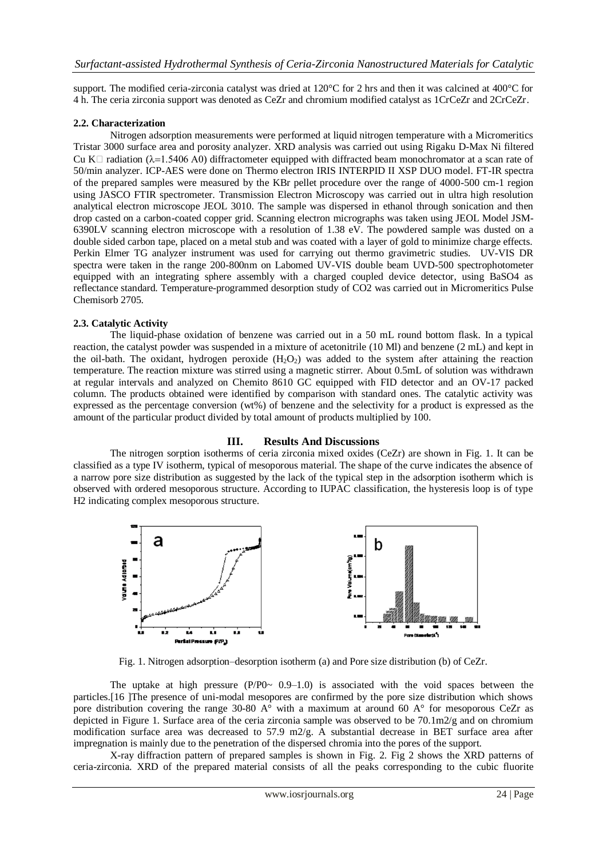support. The modified ceria-zirconia catalyst was dried at 120°C for 2 hrs and then it was calcined at 400°C for 4 h. The ceria zirconia support was denoted as CeZr and chromium modified catalyst as 1CrCeZr and 2CrCeZr.

## **2.2. Characterization**

Nitrogen adsorption measurements were performed at liquid nitrogen temperature with a Micromeritics Tristar 3000 surface area and porosity analyzer. XRD analysis was carried out using Rigaku D-Max Ni filtered Cu K $\Box$  radiation ( $\lambda$ =1.5406 A0) diffractometer equipped with diffracted beam monochromator at a scan rate of 50/min analyzer. ICP-AES were done on Thermo electron IRIS INTERPID II XSP DUO model. FT-IR spectra of the prepared samples were measured by the KBr pellet procedure over the range of 4000-500 cm-1 region using JASCO FTIR spectrometer. Transmission Electron Microscopy was carried out in ultra high resolution analytical electron microscope JEOL 3010. The sample was dispersed in ethanol through sonication and then drop casted on a carbon-coated copper grid. Scanning electron micrographs was taken using JEOL Model JSM-6390LV scanning electron microscope with a resolution of 1.38 eV. The powdered sample was dusted on a double sided carbon tape, placed on a metal stub and was coated with a layer of gold to minimize charge effects. Perkin Elmer TG analyzer instrument was used for carrying out thermo gravimetric studies. UV-VIS DR spectra were taken in the range 200-800nm on Labomed UV-VIS double beam UVD-500 spectrophotometer equipped with an integrating sphere assembly with a charged coupled device detector, using BaSO4 as reflectance standard. Temperature-programmed desorption study of CO2 was carried out in Micromeritics Pulse Chemisorb 2705.

## **2.3. Catalytic Activity**

The liquid-phase oxidation of benzene was carried out in a 50 mL round bottom flask. In a typical reaction, the catalyst powder was suspended in a mixture of acetonitrile (10 Ml) and benzene (2 mL) and kept in the oil-bath. The oxidant, hydrogen peroxide  $(H_2O_2)$  was added to the system after attaining the reaction temperature. The reaction mixture was stirred using a magnetic stirrer. About 0.5mL of solution was withdrawn at regular intervals and analyzed on Chemito 8610 GC equipped with FID detector and an OV-17 packed column. The products obtained were identified by comparison with standard ones. The catalytic activity was expressed as the percentage conversion (wt%) of benzene and the selectivity for a product is expressed as the amount of the particular product divided by total amount of products multiplied by 100.

## **III. Results And Discussions**

The nitrogen sorption isotherms of ceria zirconia mixed oxides (CeZr) are shown in Fig. 1. It can be classified as a type IV isotherm, typical of mesoporous material. The shape of the curve indicates the absence of a narrow pore size distribution as suggested by the lack of the typical step in the adsorption isotherm which is observed with ordered mesoporous structure. According to IUPAC classification, the hysteresis loop is of type H2 indicating complex mesoporous structure.



Fig. 1. Nitrogen adsorption–desorption isotherm (a) and Pore size distribution (b) of CeZr.

The uptake at high pressure  $(P/P0 \sim 0.9-1.0)$  is associated with the void spaces between the particles.<sup>[16]</sup> The presence of uni-modal mesopores are confirmed by the pore size distribution which shows pore distribution covering the range 30-80  $A^{\circ}$  with a maximum at around 60  $A^{\circ}$  for mesoporous CeZr as depicted in Figure 1. Surface area of the ceria zirconia sample was observed to be 70.1m2/g and on chromium modification surface area was decreased to 57.9 m2/g. A substantial decrease in BET surface area after impregnation is mainly due to the penetration of the dispersed chromia into the pores of the support.

X-ray diffraction pattern of prepared samples is shown in Fig. 2. Fig 2 shows the XRD patterns of ceria-zirconia. XRD of the prepared material consists of all the peaks corresponding to the cubic fluorite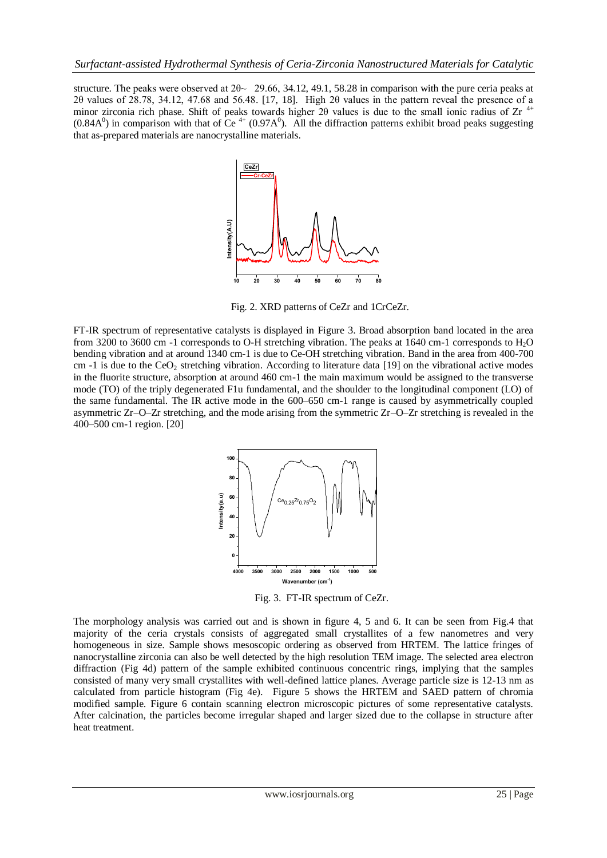structure. The peaks were observed at  $2\theta \sim 29.66$ , 34.12, 49.1, 58.28 in comparison with the pure ceria peaks at 2θ values of 28.78, 34.12, 47.68 and 56.48. [17, 18]. High 2θ values in the pattern reveal the presence of a minor zirconia rich phase. Shift of peaks towards higher 2 $\theta$  values is due to the small ionic radius of Zr<sup>4+</sup>  $(0.84A^0)$  in comparison with that of Ce<sup>4+</sup>  $(0.97A^0)$ . All the diffraction patterns exhibit broad peaks suggesting that as-prepared materials are nanocrystalline materials.



Fig. 2. XRD patterns of CeZr and 1CrCeZr.

FT-IR spectrum of representative catalysts is displayed in Figure 3. Broad absorption band located in the area from 3200 to 3600 cm -1 corresponds to O-H stretching vibration. The peaks at 1640 cm-1 corresponds to H2O bending vibration and at around 1340 cm-1 is due to Ce-OH stretching vibration. Band in the area from 400-700 cm  $-1$  is due to the CeO<sub>2</sub> stretching vibration. According to literature data [19] on the vibrational active modes in the fluorite structure, absorption at around 460 cm-1 the main maximum would be assigned to the transverse mode (TO) of the triply degenerated F1u fundamental, and the shoulder to the longitudinal component (LO) of the same fundamental. The IR active mode in the 600–650 cm-1 range is caused by asymmetrically coupled asymmetric Zr–O–Zr stretching, and the mode arising from the symmetric Zr–O–Zr stretching is revealed in the 400–500 cm-1 region. [20]



Fig. 3. FT-IR spectrum of CeZr.

The morphology analysis was carried out and is shown in figure 4, 5 and 6. It can be seen from Fig.4 that majority of the ceria crystals consists of aggregated small crystallites of a few nanometres and very homogeneous in size. Sample shows mesoscopic ordering as observed from HRTEM. The lattice fringes of nanocrystalline zirconia can also be well detected by the high resolution TEM image. The selected area electron diffraction (Fig 4d) pattern of the sample exhibited continuous concentric rings, implying that the samples consisted of many very small crystallites with well-defined lattice planes. Average particle size is 12-13 nm as calculated from particle histogram (Fig 4e). Figure 5 shows the HRTEM and SAED pattern of chromia modified sample. Figure 6 contain scanning electron microscopic pictures of some representative catalysts. After calcination, the particles become irregular shaped and larger sized due to the collapse in structure after heat treatment.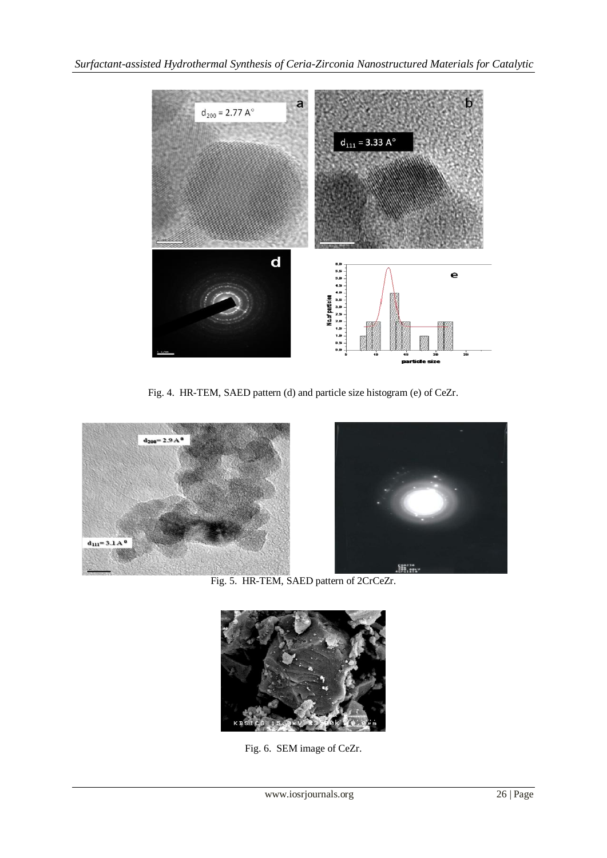

Fig. 4. HR-TEM, SAED pattern (d) and particle size histogram (e) of CeZr.





Fig. 5. HR-TEM, SAED pattern of 2CrCeZr.



Fig. 6. SEM image of CeZr.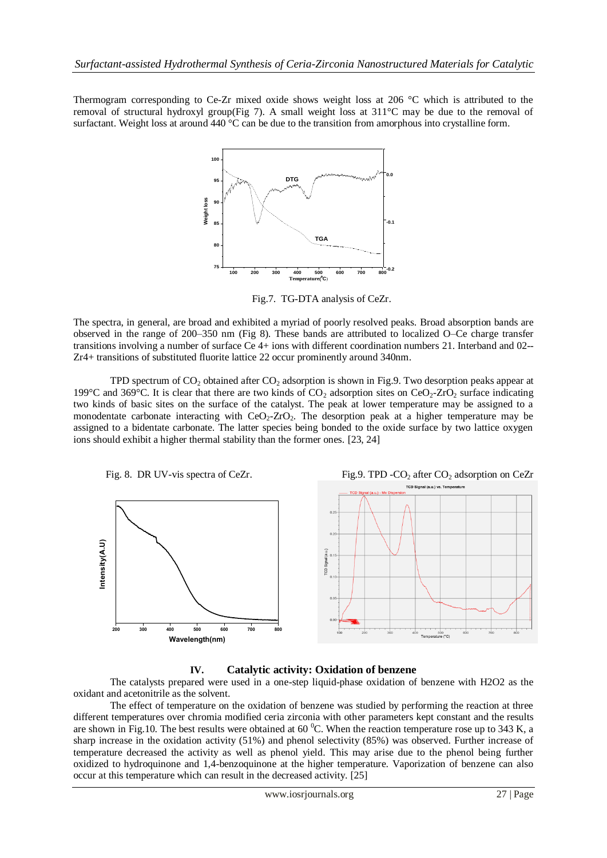Thermogram corresponding to Ce-Zr mixed oxide shows weight loss at 206 °C which is attributed to the removal of structural hydroxyl group(Fig 7). A small weight loss at 311°C may be due to the removal of surfactant. Weight loss at around 440 °C can be due to the transition from amorphous into crystalline form.



Fig.7. TG-DTA analysis of CeZr.

The spectra, in general, are broad and exhibited a myriad of poorly resolved peaks. Broad absorption bands are observed in the range of 200–350 nm (Fig 8). These bands are attributed to localized O–Ce charge transfer transitions involving a number of surface Ce 4+ ions with different coordination numbers 21. Interband and 02-- Zr4+ transitions of substituted fluorite lattice 22 occur prominently around 340nm.

TPD spectrum of  $CO<sub>2</sub>$  obtained after  $CO<sub>2</sub>$  adsorption is shown in Fig.9. Two desorption peaks appear at 199°C and 369°C. It is clear that there are two kinds of  $CO_2$  adsorption sites on  $CeO_2$ -ZrO<sub>2</sub> surface indicating two kinds of basic sites on the surface of the catalyst. The peak at lower temperature may be assigned to a monodentate carbonate interacting with  $CeO<sub>2</sub>-ZrO<sub>2</sub>$ . The desorption peak at a higher temperature may be assigned to a bidentate carbonate. The latter species being bonded to the oxide surface by two lattice oxygen ions should exhibit a higher thermal stability than the former ones. [23, 24]



# **IV. Catalytic activity: Oxidation of benzene**

The catalysts prepared were used in a one-step liquid-phase oxidation of benzene with H2O2 as the oxidant and acetonitrile as the solvent.

The effect of temperature on the oxidation of benzene was studied by performing the reaction at three different temperatures over chromia modified ceria zirconia with other parameters kept constant and the results are shown in Fig.10. The best results were obtained at 60  $^{\circ}$ C. When the reaction temperature rose up to 343 K, a sharp increase in the oxidation activity (51%) and phenol selectivity (85%) was observed. Further increase of temperature decreased the activity as well as phenol yield. This may arise due to the phenol being further oxidized to hydroquinone and 1,4-benzoquinone at the higher temperature. Vaporization of benzene can also occur at this temperature which can result in the decreased activity. [25]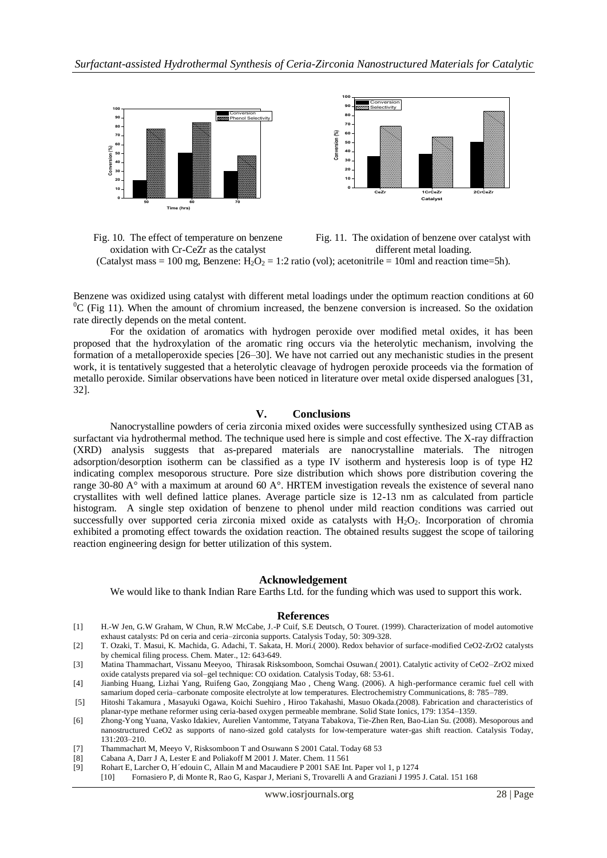

Fig. 10. The effect of temperature on benzene oxidation with Cr-CeZr as the catalyst Fig. 11. The oxidation of benzene over catalyst with different metal loading. (Catalyst mass = 100 mg, Benzene:  $H_2O_2 = 1:2$  ratio (vol); acetonitrile = 10ml and reaction time=5h).

Benzene was oxidized using catalyst with different metal loadings under the optimum reaction conditions at 60  ${}^{0}C$  (Fig 11). When the amount of chromium increased, the benzene conversion is increased. So the oxidation rate directly depends on the metal content.

 For the oxidation of aromatics with hydrogen peroxide over modified metal oxides, it has been proposed that the hydroxylation of the aromatic ring occurs via the heterolytic mechanism, involving the formation of a metalloperoxide species [26–30]. We have not carried out any mechanistic studies in the present work, it is tentatively suggested that a heterolytic cleavage of hydrogen peroxide proceeds via the formation of metallo peroxide. Similar observations have been noticed in literature over metal oxide dispersed analogues [31, 32].

#### **V. Conclusions**

Nanocrystalline powders of ceria zirconia mixed oxides were successfully synthesized using CTAB as surfactant via hydrothermal method. The technique used here is simple and cost effective. The X-ray diffraction (XRD) analysis suggests that as-prepared materials are nanocrystalline materials. The nitrogen adsorption/desorption isotherm can be classified as a type IV isotherm and hysteresis loop is of type H2 indicating complex mesoporous structure. Pore size distribution which shows pore distribution covering the range 30-80 A° with a maximum at around 60 A°. HRTEM investigation reveals the existence of several nano crystallites with well defined lattice planes. Average particle size is 12-13 nm as calculated from particle histogram. A single step oxidation of benzene to phenol under mild reaction conditions was carried out successfully over supported ceria zirconia mixed oxide as catalysts with  $H_2O_2$ . Incorporation of chromia exhibited a promoting effect towards the oxidation reaction. The obtained results suggest the scope of tailoring reaction engineering design for better utilization of this system.

#### **Acknowledgement**

We would like to thank Indian Rare Earths Ltd. for the funding which was used to support this work.

#### **References**

- [1] H.-W Jen, G.W Graham, W Chun, R.W McCabe, J.-P Cuif, S.E Deutsch, O Touret. (1999). Characterization of model automotive exhaust catalysts: Pd on ceria and ceria–zirconia supports. Catalysis Today, 50: 309-328.
- [2] T. Ozaki, T. Masui, K. Machida, G. Adachi, T. Sakata, H. Mori.( 2000). Redox behavior of surface-modified CeO2-ZrO2 catalysts by chemical filing process. Chem. Mater., 12: 643-649.
- [3] Matina Thammachart, Vissanu Meeyoo, Thirasak Risksomboon, Somchai Osuwan.( 2001). Catalytic activity of CeO2–ZrO2 mixed oxide catalysts prepared via sol–gel technique: CO oxidation. Catalysis Today, 68: 53-61.
- [4] Jianbing Huang, Lizhai Yang, Ruifeng Gao, Zongqiang Mao , Cheng Wang. (2006). A high-performance ceramic fuel cell with samarium doped ceria–carbonate composite electrolyte at low temperatures. Electrochemistry Communications, 8: 785–789.
- [5] Hitoshi Takamura , Masayuki Ogawa, Koichi Suehiro , Hiroo Takahashi, Masuo Okada.(2008). Fabrication and characteristics of planar-type methane reformer using ceria-based oxygen permeable membrane. Solid State Ionics, 179: 1354–1359.
- [6] Zhong-Yong Yuana, Vasko Idakiev, Aurelien Vantomme, Tatyana Tabakova, Tie-Zhen Ren, Bao-Lian Su. (2008). Mesoporous and nanostructured CeO2 as supports of nano-sized gold catalysts for low-temperature water-gas shift reaction. Catalysis Today, 131:203–210.
- [7] Thammachart M, Meeyo V, Risksomboon T and Osuwann S 2001 Catal. Today 68 53
- [8] Cabana A, Darr J A, Lester E and Poliakoff M 2001 J. Mater. Chem. 11 561
- [9] Rohart E, Larcher O, H´edouin C, Allain M and Macaudiere P 2001 SAE Int. Paper vol 1, p 1274
	- [10] Fornasiero P, di Monte R, Rao G, Kaspar J, Meriani S, Trovarelli A and Graziani J 1995 J. Catal. 151 168